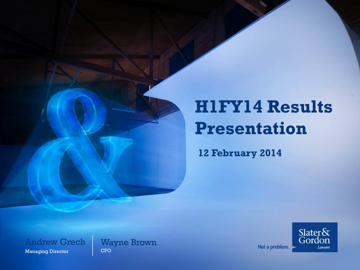# **H1FY14 Results Presentation**

**12 February 2014**

Andrew Grech Managing Director

Wayne Brown **CFO** 

 $\frac{{\rm Slater}\delta\!x}{\rm Gordon}$ Lawyers

Not a problem.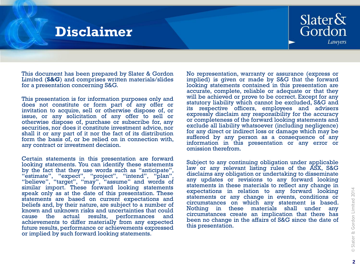### **Disclaimer**



This document has been prepared by Slater & Gordon Limited (**S&G**) and comprises written materials/slides for a presentation concerning S&G.

This presentation is for information purposes only and does not constitute or form part of any offer or invitation to acquire, sell or otherwise dispose of, or issue, or any solicitation of any offer to sell or otherwise dispose of, purchase or subscribe for, any securities, nor does it constitute investment advice, nor shall it or any part of it nor the fact of its distribution form the basis of, or be relied on in connection with, any contract or investment decision.

Certain statements in this presentation are forward looking statements. You can identify these statements by the fact that they use words such as "anticipate", "estimate", "expect", "project", "intend", "plan", "believe", "target", "may", "assume" and words of similar import. These forward looking statements speak only as at the date of this presentation. These statements are based on current expectations and beliefs and, by their nature, are subject to a number of known and unknown risks and uncertainties that could cause the actual results, performances and achievements to differ materially from any expected future results, performance or achievements expressed or implied by such forward looking statements.

No representation, warranty or assurance (express or implied) is given or made by S&G that the forward looking statements contained in this presentation are accurate, complete, reliable or adequate or that they will be achieved or prove to be correct. Except for any statutory liability which cannot be excluded, S&G and its respective officers, employees and advisers expressly disclaim any responsibility for the accuracy or completeness of the forward looking statements and exclude all liability whatsoever (including negligence) for any direct or indirect loss or damage which may be suffered by any person as a consequence of any information in this presentation or any error or omission therefrom.

Subject to any continuing obligation under applicable law or any relevant listing rules of the ASX, S&G disclaims any obligation or undertaking to disseminate any updates or revisions to any forward looking statements in these materials to reflect any change in expectations in relation to any forward looking statements or any change in events, conditions or circumstances on which any statement is based. Nothing in these materials shall under any circumstances create an implication that there has been no change in the affairs of S&G since the date of this presentation.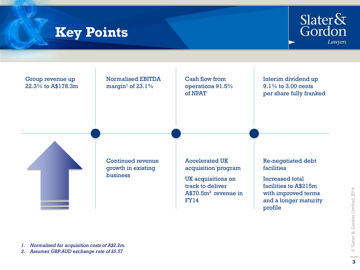### **Key Points**





*2. Assumes GBP:AUD exchange rate of £0.57*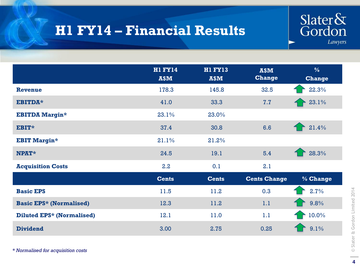# **H1 FY14 – Financial Results**



|                                  | <b>H1 FY14</b><br>A\$M | HI FY13<br>A\$M | A\$M<br><b>Change</b> | $\frac{0}{6}$<br><b>Change</b> |
|----------------------------------|------------------------|-----------------|-----------------------|--------------------------------|
| <b>Revenue</b>                   | 178.3                  | 145.8           | 32.5                  | 22.3%                          |
| EBITDA*                          | 41.0                   | 33.3            | 7.7                   | 23.1%                          |
| <b>EBITDA Margin*</b>            | 23.1%                  | 23.0%           |                       |                                |
| EBIT*                            | 37.4                   | 30.8            | 6.6                   | 21.4%                          |
| <b>EBIT Margin*</b>              | 21.1%                  | 21.2%           |                       |                                |
| <b>NPAT*</b>                     | 24.5                   | 19.1            | 5.4                   | 28.3%                          |
| <b>Acquisition Costs</b>         | 2.2                    | 0.1             | 2.1                   |                                |
|                                  | <b>Cents</b>           | <b>Cents</b>    | <b>Cents Change</b>   | % Change                       |
| <b>Basic EPS</b>                 | 11.5                   | 11.2            | 0.3                   | 2.7%                           |
| <b>Basic EPS* (Normalised)</b>   | 12.3                   | 11.2            | 1.1                   | 9.8%                           |
| <b>Diluted EPS* (Normalised)</b> | 12.1                   | 11.0            | 1.1                   | 10.0%                          |
| <b>Dividend</b>                  | 3.00                   | 2.75            | 0.25                  | 9.1%                           |

*\* Normalised for acquisition costs*

**4**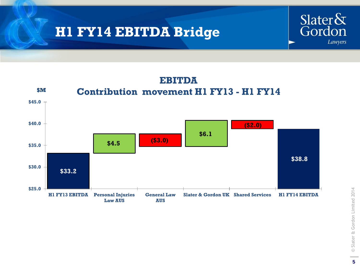## **H1 FY14 EBITDA Bridge**



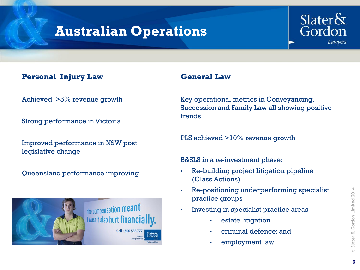## **Australian Operations**



### **Personal Injury Law**

Achieved >5% revenue growth

Strong performance in Victoria

Improved performance in NSW post legislative change

Queensland performance improving



### **General Law**

Key operational metrics in Conveyancing, Succession and Family Law all showing positive trends

PLS achieved >10% revenue growth

B&SLS in a re-investment phase:

- Re-building project litigation pipeline (Class Actions)
- Re-positioning underperforming specialist practice groups
- Investing in specialist practice areas
	- estate litigation
	- criminal defence; and
	- employment law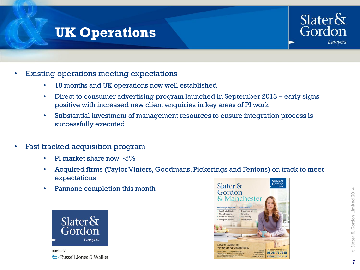### **UK Operations**



- **Existing operations meeting expectations** 
	- 18 months and UK operations now well established
	- Direct to consumer advertising program launched in September 2013 early signs positive with increased new client enquiries in key areas of PI work
	- Substantial investment of management resources to ensure integration process is successfully executed
- Fast tracked acquisition program
	- PI market share now  $~5\%$
	- Acquired firms (Taylor Vinters, Goodmans, Pickerings and Fentons) on track to meet expectations
	- Pannone completion this month



**FORMERLY** E Russell Jones & Walker

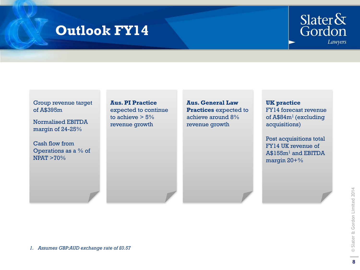### **Outlook FY14**



#### Group revenue target of A\$395m

Normalised EBITDA margin of 24-25%

Cash flow from Operations as a % of NPAT >70%

**Aus. PI Practice**  expected to continue to achieve  $> 5\%$ revenue growth

**Aus. General Law Practices** expected to achieve around 8% revenue growth

### **UK practice**  FY14 forecast revenue of A\$84m<sup>1</sup> (excluding acquisitions)

Post acquisitions total FY14 UK revenue of A\$155m<sup>1</sup> and EBITDA margin 20+%

*1. Assumes GBP:AUD exchange rate of £0.57*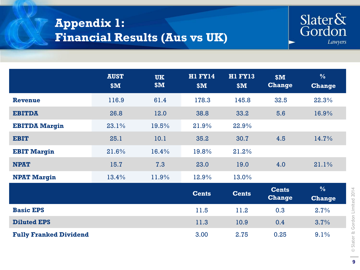### **Appendix 1: Financial Results (Aus vs UK)**



|                               | <b>AUST</b><br>\$M\$ | <b>UK</b><br>\$M\$ | <b>H1 FY14</b><br>\$M\$ | HI FY13<br>\$M\$ | \$M\$<br><b>Change</b>        | $\frac{9}{6}$<br><b>Change</b> |
|-------------------------------|----------------------|--------------------|-------------------------|------------------|-------------------------------|--------------------------------|
| <b>Revenue</b>                | 116.9                | 61.4               | 178.3                   | 145.8            | 32.5                          | 22.3%                          |
| <b>EBITDA</b>                 | 26.8                 | 12.0               | 38.8                    | 33.2             | 5.6                           | 16.9%                          |
| <b>EBITDA Margin</b>          | 23.1%                | 19.5%              | 21.9%                   | 22.9%            |                               |                                |
| <b>EBIT</b>                   | 25.1                 | 10.1               | 35.2                    | 30.7             | 4.5                           | 14.7%                          |
| <b>EBIT Margin</b>            | 21.6%                | 16.4%              | 19.8%                   | 21.2%            |                               |                                |
| <b>NPAT</b>                   | 15.7                 | 7.3                | 23.0                    | 19.0             | 4.0                           | 21.1%                          |
| <b>NPAT Margin</b>            | 13.4%                | 11.9%              | 12.9%                   | 13.0%            |                               |                                |
|                               |                      |                    | <b>Cents</b>            | <b>Cents</b>     | <b>Cents</b><br><b>Change</b> | $\frac{0}{6}$<br><b>Change</b> |
| <b>Basic EPS</b>              |                      |                    | 11.5                    | 11.2             | 0.3                           | 2.7%                           |
| <b>Diluted EPS</b>            |                      |                    | 11.3                    | 10.9             | 0.4                           | 3.7%                           |
| <b>Fully Franked Dividend</b> |                      |                    | 3.00                    | 2.75             | 0.25                          | 9.1%                           |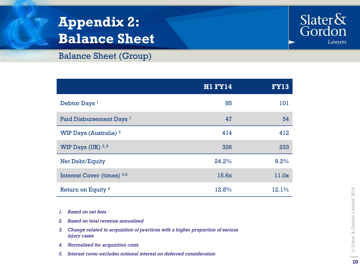# **Appendix 2: Balance Sheet**



### Balance Sheet (Group)

|                                     | <b>H1 FY14</b> | <b>FY13</b> |
|-------------------------------------|----------------|-------------|
| Debtor Days <sup>1</sup>            | 85             | 101         |
| Paid Disbursement Days <sup>1</sup> | 47             | 54          |
| WIP Days (Australia) <sup>2</sup>   | 414            | 412         |
| WIP Days (UK) $2,3$                 | 326            | 233         |
| <b>Net Debt/Equity</b>              | 24.2%          | 9.2%        |
| Interest Cover (times) 4,5          | 15.6x          | 11.0x       |
| Return on Equity <sup>4</sup>       | 12.8%          | 12.1%       |

- *1. Based on net fees*
- *2. Based on total revenue annualised*
- *3. Change related to acquisition of practices with a higher proportion of serious injury cases*
- *4. Normalised for acquisition costs*
- *5. Interest cover excludes notional interest on deferred consideration*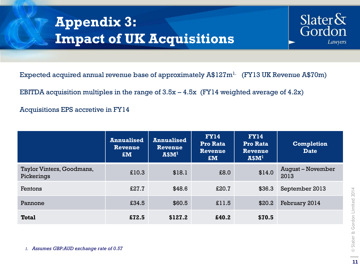# **Appendix 3: Impact of UK Acquisitions**



Expected acquired annual revenue base of approximately  $A$127m<sup>1</sup>$ . (FY13 UK Revenue A\$70m)

EBITDA acquisition multiples in the range of  $3.5x - 4.5x$  (FY14 weighted average of  $4.2x$ )

Acquisitions EPS accretive in FY14

|                                         | <b>Annualised</b><br>Revenue<br>$\mathbf{f}$ | <b>Annualised</b><br>Revenue<br>A\$M <sup>1</sup> | <b>FY14</b><br><b>Pro Rata</b><br>Revenue<br>$EM$ | <b>FY14</b><br>Pro Rata<br>Revenue<br>A\$M <sup>1</sup> | <b>Completion</b><br><b>Date</b> |
|-----------------------------------------|----------------------------------------------|---------------------------------------------------|---------------------------------------------------|---------------------------------------------------------|----------------------------------|
| Taylor Vinters, Goodmans,<br>Pickerings | £10.3                                        | \$18.1                                            | £8.0                                              | \$14.0                                                  | <b>August - November</b><br>2013 |
| Fentons                                 | £27.7                                        | \$48.6                                            | £20.7                                             | \$36.3                                                  | September 2013                   |
| Pannone                                 | £34.5                                        | \$60.5                                            | £11.5                                             | \$20.2                                                  | February 2014                    |
| <b>Total</b>                            | £72.5                                        | \$127.2                                           | £40.2                                             | \$70.5                                                  |                                  |